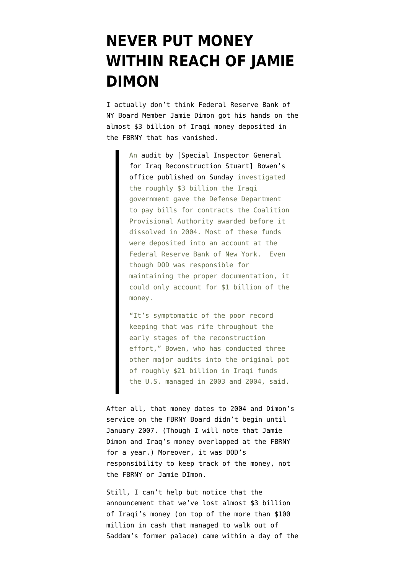## **[NEVER PUT MONEY](https://www.emptywheel.net/2012/01/30/never-put-money-within-reach-of-jamie-dimon/) [WITHIN REACH OF JAMIE](https://www.emptywheel.net/2012/01/30/never-put-money-within-reach-of-jamie-dimon/) [DIMON](https://www.emptywheel.net/2012/01/30/never-put-money-within-reach-of-jamie-dimon/)**

I actually don't think Federal Reserve Bank of NY Board Member Jamie Dimon got his hands on the almost \$3 billion of Iraqi money deposited in the FBRNY [that has vanished](http://www.nationaljournal.com/nationalsecurity/audit-could-fuel-iraqi-claim-for-missing-money-20120129).

> An [audit by \[Special Inspector General](http://www.sigir.mil/files/audits/12-008.pdf#view=fit) [for Iraq Reconstruction Stuart\] Bowen's](http://www.sigir.mil/files/audits/12-008.pdf#view=fit) [office published on Sunday](http://www.sigir.mil/files/audits/12-008.pdf#view=fit) investigated the roughly \$3 billion the Iraqi government gave the Defense Department to pay bills for contracts the Coalition Provisional Authority awarded before it dissolved in 2004. Most of these funds were deposited into an account at the Federal Reserve Bank of New York. Even though DOD was responsible for maintaining the proper documentation, it could only account for \$1 billion of the money.

> "It's symptomatic of the poor record keeping that was rife throughout the early stages of the reconstruction effort," Bowen, who has conducted three other major audits into the original pot of roughly \$21 billion in Iraqi funds the U.S. managed in 2003 and 2004, said.

After all, that money dates to 2004 and Dimon's service on the FBRNY Board [didn't begin](http://www.newyorkfed.org/aboutthefed/annual/annual06/directors.pdf) until January 2007. (Though I will note that Jamie Dimon and Iraq's money overlapped at the FBRNY for a year.) Moreover, it was DOD's responsibility to keep track of the money, not the FBRNY or Jamie DImon.

Still, I can't help but notice that the announcement that we've lost almost \$3 billion of Iraqi's money (on top of the more than \$100 million in cash that managed to walk out of Saddam's former palace) came within a day of the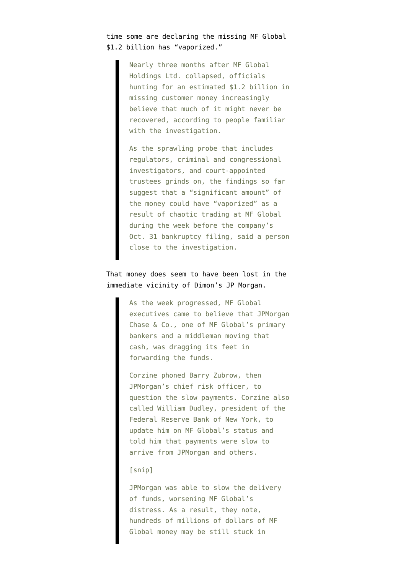time [some are declaring](http://online.wsj.com/article/SB10001424052970203920204577191014034430488.html?KEYWORDS=mf+global) the missing MF Global \$1.2 billion has "vaporized."

> Nearly three months after MF Global Holdings Ltd. collapsed, officials hunting for an estimated \$1.2 billion in missing customer money increasingly believe that much of it might never be recovered, according to people familiar with the investigation.

> As the sprawling probe that includes regulators, criminal and congressional investigators, and court-appointed trustees grinds on, the findings so far suggest that a "significant amount" of the money could have "vaporized" as a result of chaotic trading at MF Global during the week before the company's Oct. 31 bankruptcy filing, said a person close to the investigation.

## That money does seem to have been [lost in the](http://www.reuters.com/article/2012/01/19/us-mfglobal-jpmorgan-idUSTRE80I02520120119) [immediate vicinity](http://www.reuters.com/article/2012/01/19/us-mfglobal-jpmorgan-idUSTRE80I02520120119) of Dimon's JP Morgan.

As the week progressed, MF Global executives came to believe that JPMorgan Chase & Co., one of MF Global's primary bankers and a middleman moving that cash, was dragging its feet in forwarding the funds.

Corzine phoned Barry Zubrow, then JPMorgan's chief risk officer, to question the slow payments. Corzine also called William Dudley, president of the Federal Reserve Bank of New York, to update him on MF Global's status and told him that payments were slow to arrive from JPMorgan and others.

## [snip]

JPMorgan was able to slow the delivery of funds, worsening MF Global's distress. As a result, they note, hundreds of millions of dollars of MF Global money may be still stuck in